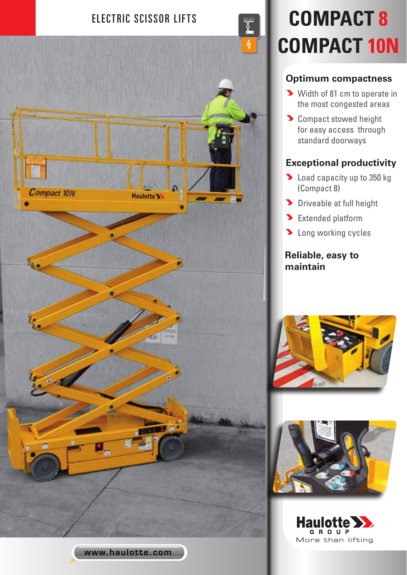

# **COMPACT 10N**

### **Optimum compactness**

- Width of 81 cm to operate in the most congested areas
- **D** Compact stowed height for easy access through standard doorways

## **Exceptional productivity**

- **Load capacity up to 350 kg** (Compact 8)
- **Driveable at full height**
- **Extended platform**
- **D** Long working cycles

#### **Reliable, easy to maintain**